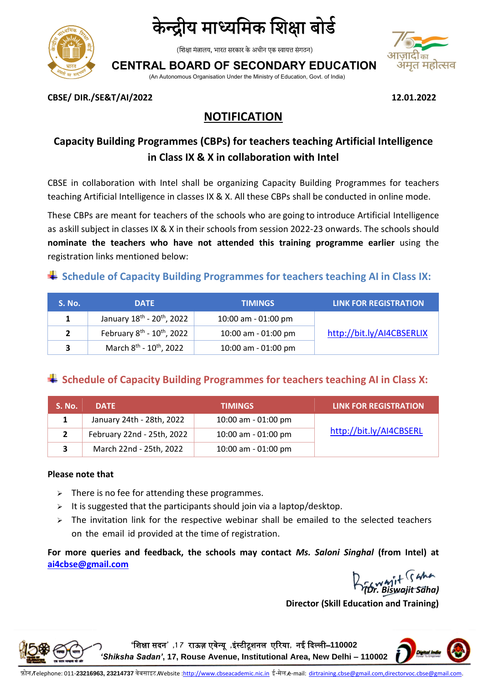

## केन्द्रीय माध्यमिक शिक्षा बोर्ड

(शिक्षा मंत्रालय, भारत सरकार के अधीन एक स्वायत्त संगठन)

**CENTRAL BOARD OF SECONDARY EDUCATION**

(An Autonomous Organisation Under the Ministry of Education, Govt. of India)



**CBSE/ DIR./SE&T/AI/2022 12.01.2022**

## **NOTIFICATION**

## **Capacity Building Programmes (CBPs) for teachers teaching Artificial Intelligence in Class IX & X in collaboration with Intel**

CBSE in collaboration with Intel shall be organizing Capacity Building Programmes for teachers teaching Artificial Intelligence in classes IX & X. All these CBPs shall be conducted in online mode.

These CBPs are meant for teachers of the schools who are going to introduce Artificial Intelligence as askill subject in classes IX & X in their schools from session 2022-23 onwards. The schools should **nominate the teachers who have not attended this training programme earlier** using the registration links mentioned below:

### **Schedule of Capacity Building Programmes for teachers teaching AI in Class IX:**

| .S. No.' | <b>DATE</b>                                        | <b>TIMINGS</b>      | <b>LINK FOR REGISTRATION</b> |
|----------|----------------------------------------------------|---------------------|------------------------------|
|          | January 18 <sup>th</sup> - 20 <sup>th</sup> , 2022 | 10:00 am - 01:00 pm |                              |
|          | February 8 <sup>th</sup> - 10 <sup>th</sup> , 2022 | 10:00 am - 01:00 pm | http://bit.ly/AI4CBSERLIX    |
| 3        | March 8 <sup>th</sup> - 10 <sup>th</sup> , 2022    | 10:00 am - 01:00 pm |                              |

### **Schedule of Capacity Building Programmes for teachers teaching AI in Class X:**

| S. No. | <b>DATE</b>                | <b>TIMINGS</b>      | <b>LINK FOR REGISTRATION</b> |
|--------|----------------------------|---------------------|------------------------------|
|        | January 24th - 28th, 2022  | 10:00 am - 01:00 pm |                              |
|        | February 22nd - 25th, 2022 | 10:00 am - 01:00 pm | http://bit.ly/AI4CBSERL      |
| 3      | March 22nd - 25th, 2022    | 10:00 am - 01:00 pm |                              |

#### **Please note that**

- $\triangleright$  There is no fee for attending these programmes.
- $\triangleright$  It is suggested that the participants should join via a laptop/desktop.
- $\triangleright$  The invitation link for the respective webinar shall be emailed to the selected teachers on the email id provided at the time of registration.

**For more queries and feedback, the schools may contact** *Ms. Saloni Singhal* **(from Intel) [at](mailto:atai4cbse@gmail.com)  [ai4cbse@gmail.com](mailto:atai4cbse@gmail.com)**

*(Dr. Biswajit Saha)*

**Director (Skill Education and Training)**



**'**शिक्षा सदन**' ,1 7** राऊज़ एवेन्यू **,**इंस्टीटूिनल एररया**,** नई ददल्ली–**110002**  *'Shiksha Sadan'***, 17, Rouse Avenue, Institutional Area, New Delhi – 110002**